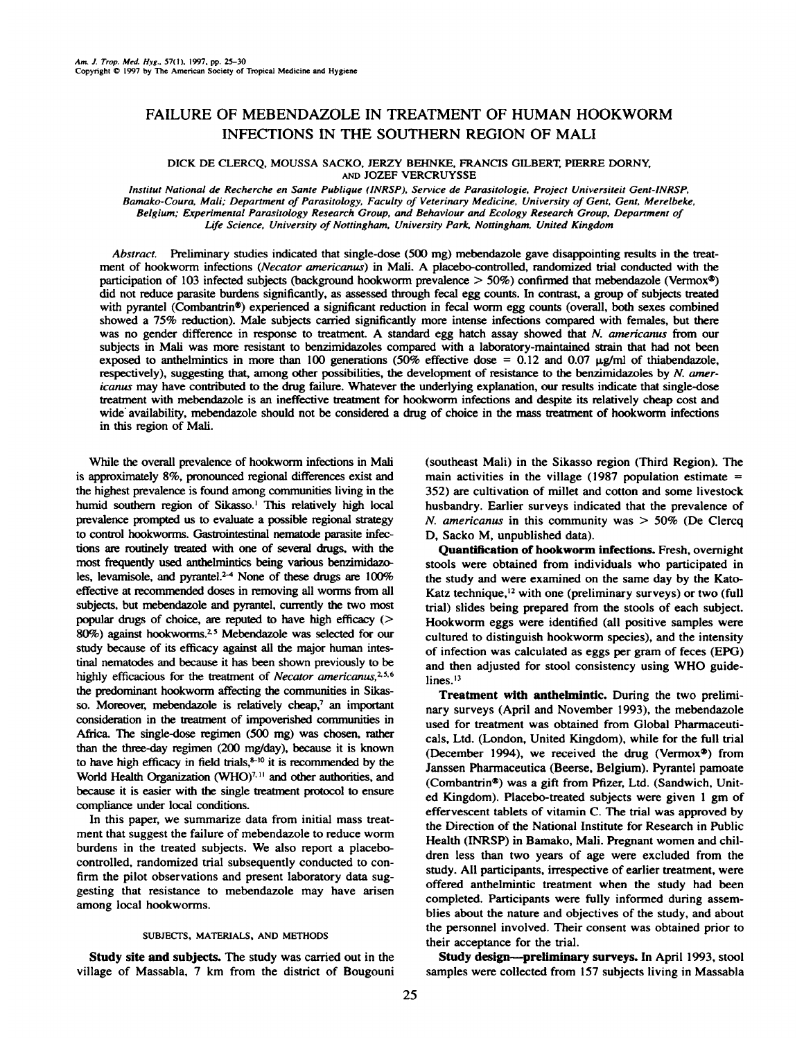# FAILURE OF MEBENDAZOLE IN TREATMENT OF HUMAN HOOKWORM INFECTIONS IN THE SOUTHERN REGION OF MALI

**DICK DE CLERCQ, MOUSSA SACKO, JERZY BEHNKE, FRANCIS GILBERT, PIERRE DORNY,** AND JOZEF VERCRUYSSE

*Institut National de Recherche en Sante Publique (INRSP), Service de Parasitologie, Project Universiteit Gent-JNRSP, Bamako-Coura, Mali; Department of Parasitology. Faculty of Veterinary Medicine, University of Gent, Gent, Merelbeke, Belgium; Experimental Parasitology Research Group, and Behaviour and Ecology Research Group, Department of Ljfe Science, University of Nottingham, University Park@ Nottingham.United Kingdom*

**Abstract. Preliminary studies indicated that single-dose (500 mg) mebendazole gave disappointing results in the treat** ment of hookworm infections (Necator americanus) in Mali. A placebo-controlled, randomized trial conducted with the participation of 103 infected subjects (background hookworm prevalence > 50%) confirmed that mebendazole (Vermox®) did not reduce parasite burdens significanfly, as assessed through fecal egg counts. In contrast, a group of subjects treated with pyrantel (Combantrin®) experienced a significant reduction in fecal worm egg counts (overall, both sexes combined showed a 75% reduction). Male subjects carried significantly more intense infections compared with females, but there was no gender difference in response to treatment. A standard egg hatch assay showed that N. americanus from our subjects in Mali was more resistant to benzimidazoles compared with a laboratory-maintained strain that had not been exposed to anthelmintics in more than 100 generations (50% effective dose = 0.12 and 0.07  $\mu$ g/ml of thiabendazole, respectively), suggesting that, among other possibilities, the development of resistance to the benzimidazoles by N. americanus may have contributed to the drug failure. Whatever the underlying explanation, our results indicate that single-dose treatment with mebendazole is an ineffective treatment for hookworm infections and despite its relatively cheap cost and wide availability, mebendazole should not be considered a drug of choice in the mass treatment of hookworm infections in this region of Mali.

While the overall prevalence of hookworm infections in Mali is approximately 8%, pronounced regional differences exist and the highest prevalence is found among communities living in the humid southern region of Sikasso.' This relatively high local prevalence prompted us to evaluate a possible regional strategy **to control hookworms. Gastrointestinal nematode parasite infec** tions are routinely treated with one of several drugs, with the most frequently used anthelmintics being various benzimidazo les, levamisole, and pyrantel.<sup>2-4</sup> None of these drugs are 100% effective at recommended doses in removing all worms from all subjects, but mebendazole and pyrantel, currently the two most popular drugs of choice, are reputed to have high efficacy  $($ 80%) against hookworms.<sup>25</sup> Mebendazole was selected for our study because of its efficacy against all the major human intes tinal nematodes and because it has been shown previously to be highly efficacious for the treatment of *Necator americanus*, $2.5.6$ the predominant hookworm affecting the communities in Sikas **so. Moreover, mebendazole is relatively cheap,7 an important** consideration in the treatment of impoverished communities in Africa. The single-dose regimen (500 mg) was chosen, rather than the three-day regimen (200 mg/day), because it is known **to have high efficacy in field thals,@'°it is recommended by the** World Health Organization  $(WHO)^{7,11}$  and other authorities, and because it is easier with the single treatment protocol to ensure **compliance under local conditions.**

**In this paper, we summarize data from initial mass treat** ment that suggest the failure of mebendazole to reduce worm burdens in the treated subjects. We also report a placebo controlled, randomized trial subsequently conducted to con firm the pilot observations and present laboratory data sug gesting that resistance to mebendazole may have arisen **among local hookworms.**

## SUBJECTS, MATERIALS, AND METHODS

Study site and subjects. The study was carried out in the village of Massabla, 7 km from the district of Bougoum

**(southeast Mali) in the Sikasso region (Third Region). The** main activities in the village (1987 population estimate  $=$ 352) are cultivation of millet and cotton and some livestock **husbandry. Earlier surveys indicated that the prevalence of** *N. americanus in this community was > 50% (De Clercq* **D, Sacko M, unpublished data).**

**Quantification ofhookworm infections. Fresh, overnight stools were obtained from individuals who participated in the study and were examined on the same day by the Kato Katz technique,'2 with one (preliminary surveys) or two (full** trial) slides being prepared from the stools of each subject. Hookworm eggs were identified (all positive samples were **cultured to distinguish hookworm species), and the intensity of infection was calculated as eggs per gram of feces (EPG) and then adjusted for stool consistency using WHO guide** lines.<sup>13</sup>

Treatment with anthelmintic. During the two preliminay surveys (April and November 1993), the mebendazole used for treatment was obtained from Global Pharmaceuti cals, Ltd. (London, United Kingdom), while for the full trial **(December 1994), we received the drug (Vermox®) from** Janssen Pharmaceutica (Beerse, Belgium). Pyrantel pamoate (Combantrin®) was a gift from Pfizer, Ltd. (Sandwich, Unit **ed Kingdom). Placebo-treated subjects were given 1 gm of effervescent tablets of vitamin C. The trial was approved by the Direction of the National Institute for Research in Public Health (INRSP) in Bamako, Mali. Pregnant women and chil dren less than two years of age were excluded from the study. All participants, irrespective of earlier treatment, were offered anthelmintic treatment when the study had been completed. Participants were fully informed during assem** blies about the nature and objectives of the study, and about the personnel involved. Their consent was obtained prior to **their acceptance for the trial.**

Study design—preliminary surveys. In April 1993, stool **samples were collected from 157 subjects living in Massabla**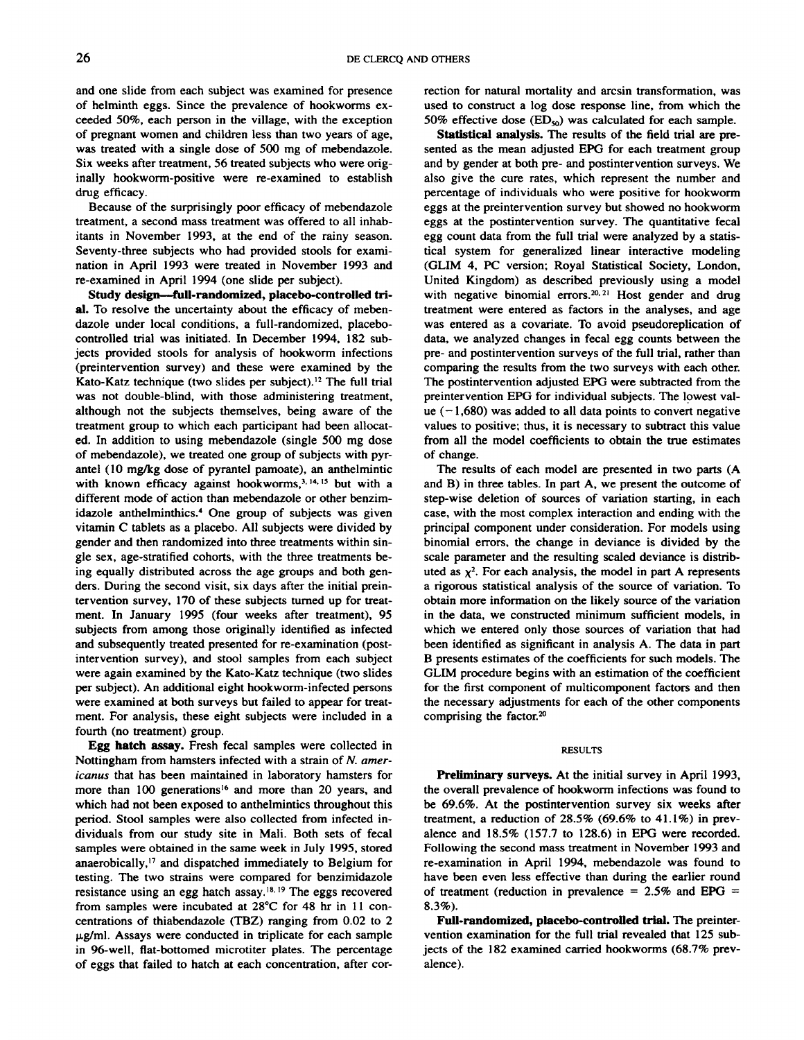and one slide from each subject was examined for presence **of helminth eggs. Since the prevalence of hookworms cx ceeded 50%, each person in the village, with the exception of pregnant women and children less than two years of age,** was treated with a single dose of 500 mg of mebendazole. **Six weeks after treatment, 56 treated subjects who were orig** inally hookworm-positive were re-examined to establish drug efficacy.

Because of the surprisingly poor efficacy of mebendazole treatment, a second mass treatment was offered to all inhab itants in November 1993, at the end of the rainy season. Seventy-three subjects who had provided stools for exami nation in April 1993 were treated in November 1993 and re-examined in April 1994 (one slide per subject).

Study design—full-randomized, placebo-controlled tn **al. To resolve the uncertainty about the efficacy of meben dazole under local conditions, a full-randomized, placebo controlled trial was initiated. In December 1994, 182 sub** jects provided stools for analysis of hookworm infections **(preintervention survey) and these were examined by the Kato-Katz technique (two slides per subject).'2 The full trial** was not double-blind, with those administering treatment, although not the subjects themselves, being aware of the treatment group to which each participant had been allocat ed. In addition to using mebendazole (single 500 mg dose **of mebendazole), we treated one group of subjects with pyr antel (10 mg/kg dose of pyrantel pamoate), an anthelmintic** with known efficacy against hookworms,<sup>3, 14, 15</sup> but with a **different mode of action than mebendazole or other benzim** idazole anthelminthics.4 One group of subjects was given vitamin C tablets as a placebo. All subjects were divided by gender and then randomized into three treatments within sin gle sex, age-stratified cohorts, with the three treatments be ing equally distributed across the age groups and both gen **ders. During the second visit, six days after the initial prein tervention survey, 170 of these subjects turned up for treat ment. In January 1995 (four weeks after treatment), 95 subjects from among those originally identified as infected and subsequently treated presented for re-examination (post** intervention survey), and stool samples from each subject **were again examined by the Kato-Katz technique (two slides per subject). An additional eight hookworm-infected persons were examined atboth surveys but failed to appear for treat ment. For analysis, these eight subjects were included in a** fourth (no treatment) group.

Egg hatch assay. Fresh fecal samples were collected in Nottingham from hamsters infected with a strain of N. amer icanus that has been maintained in laboratory hamsters for **more than 100 generations'6 and more than 20 years, and which had not been exposed to anthelmintics throughout this period. Stool samples were also collected from infected in dividuals from our study site in Mali. Both sets of fecal samples were obtained in the same week in July 1995, stored anaerobically,'7 and dispatched immediately to Belgium for** testing. The two strains were compared for benzimidazole resistance using an egg hatch assay.<sup>18, 19</sup> The eggs recovered from samples were incubated at  $28^{\circ}$ C for 48 hr in 11 concentrations of thiabendazole (TBZ) ranging from 0.02 to 2  $\mu$ g/ml. Assays were conducted in triplicate for each sample in 96-well, flat-bottomed microtiter plates. The percentage **of eggs that failed to hatch at each concentration, after cor**

rection for natural mortality and arcsin transformation, was **used to construct a log dose response line, from which the** 50% effective dose  $(ED_{50})$  was calculated for each sample.

Statistical analysis. The results of the field trial are pre sented as the mean adjusted EPG for each treatment group and by gender at both pre- and postintervention surveys. We also give the cure rates, which represent the number and percentage of individuals who were positive for hookworm eggs at the preintervention survey but showed no hookworm eggs at the postintervention survey. The quantitative fecal egg count data from the full trial were analyzed by a statis tical system for generalized linear interactive modeling **(GLIM 4, PC version; Royal Statistical Society, London,** United Kingdom) as described previously using a model with negative binomial errors.<sup>20, 21</sup> Host gender and drug **treatment were entered as factors in the analyses, and age** was entered as a covariate. To avoid pseudoreplication of data, we analyzed changes in fecal egg counts between the **pre- and postintervention surveys of the full trial, rather than** comparing the results from the two surveys with each other. **The postintervention adjusted EPG were subtracted from the** preintervention EPG for individual subjects. The lowest val ue  $(-1,680)$  was added to all data points to convert negative values to positive; thus, it is necessary to subtract this value **from all the model coefficients to obtain the true estimates of change.**

**The results of each model are presented in two parts (A** and B) in three tables. In part A, we present the outcome of step-wise deletion of sources of variation starting, in each case, with the most complex interaction and ending with the principal component under consideration. For models using binomial errors, the change in deviance is divided by the scale parameter and the resulting scaled deviance is distributed as  $\chi^2$ . For each analysis, the model in part A represents a rigorous statistical analysis of the source of variation. To **obtain more information on the likely source of the variation** in the data, we constructed minimum sufficient models, in which we entered only those sources of variation that had been identified as significant in analysis A. The data in part **B presents estimates of the coefficients for such models. The GLIM procedure begins with an estimation of the coefficient** for the first component of multicomponent factors and then the necessary adjustments for each of the other components comprising the factor.2°

## **RESULTS**

Preliminary surveys. At the initial survey in April 1993, the overall prevalence of hookworm infections was found to be 69.6%. At the postintervention survey six weeks after **treatment, a reduction of28.5% (69.6% to 41.1%) in prey** alence and 18.5% (157.7 to 128.6) in EPG were recorded. **Following the second mass treatment in November 1993 and** re-examination in April 1994, mebendazole was found to have been even less effective than during the earlier round of treatment (reduction in prevalence =  $2.5\%$  and EPG = **8.3%).**

**Full-randomized, placebo-contnolled trial. The preinter vention examination for the full trial revealed that 125 sub** jects of the 182 examined carried hookworms (68.7% prey alence).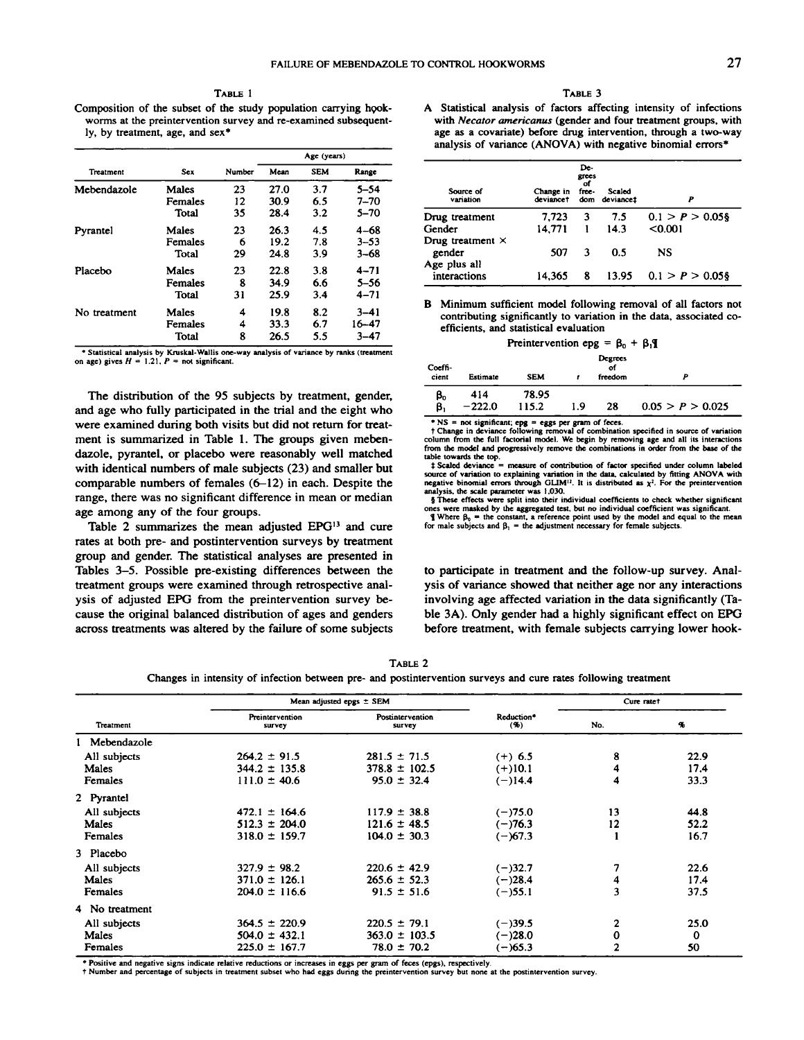TABLE 1 Composition of the subset of the study population carrying hookworms at the preintervention survey and re-examined subsequent ly, by treatment, age, and  $sex*$ 

|              |            |        |      | Age (years) |          |
|--------------|------------|--------|------|-------------|----------|
| Treatment    | <b>Sex</b> | Number | Mean | <b>SEM</b>  | Range    |
| Mebendazole  | Males      | 23     | 27.0 | 3.7         | $5 - 54$ |
|              | Females    | 12     | 30.9 | 6.5         | $7 - 70$ |
|              | Total      | 35     | 28.4 | 3.2         | $5 - 70$ |
| Pyrantel     | Males      | 23     | 26.3 | 4.5         | $4 - 68$ |
|              | Females    | 6      | 19.2 | 7.8         | $3 - 53$ |
|              | Total      | 29     | 24.8 | 3.9         | $3 - 68$ |
| Placebo      | Males      | 23     | 22.8 | 3.8         | $4 - 71$ |
|              | Females    | 8      | 34.9 | 6.6         | $5 - 56$ |
|              | Total      | 31     | 25.9 | 3.4         | $4 - 71$ |
| No treatment | Males      | 4      | 19.8 | 8.2         | $3 - 41$ |
|              | Females    | 4      | 33.3 | 6.7         | 16–47    |
|              | Total      | 8      | 26.5 | 5.5         | $3 - 47$ |

**The distribution of the 95 subjects by treatment, gender,** and age who fully participated in the trial and the eight who **were examined during both visits but did not return for treat ment is summarized in Table 1. The groups given meben** dazole, pyrantel, or placebo were reasonably well matched with identical numbers of male subjects (23) and smaller but comparable numbers of females  $(6-12)$  in each. Despite the range, there was no significant difference in mean or median age among any of the four groups.

Table 2 summarizes the mean adjusted EPG<sup>13</sup> and cure for male subjects and  $\beta_1$  = the adjustment necessary for female subjects. **rates at both pre- and postintervention surveys by treatment group and gender. The statistical analyses are presented in Tables 3—5.Possible pre-existing differences between the** treatment groups were examined through retrospective anal ysis of adjusted EPG from the preintervention survey be cause the original balanced distribution of ages and genders across treatments was altered by the failure of some subjects

## TABLE 3

**A Statistical analysis of factors affecting intensity of infections** with Necator americanus (gender and four treatment groups, with **age as a covariate) before drug intervention, through a two-way** analysis of variance (ANOVA) with negative binomial errors\*

| Source of<br>variation            | Change in<br>deviance† | De-<br>grees<br>of<br>free- | Scaled<br>dom deviancet | P                  |
|-----------------------------------|------------------------|-----------------------------|-------------------------|--------------------|
| Drug treatment                    | 7,723                  | 3                           | 7.5                     | $0.1 > P > 0.05$ § |
| Gender                            | 14.771                 |                             | 14.3                    | < 0.001            |
| Drug treatment $\times$<br>gender | 507                    | 3                           | 0.5                     | NS                 |
| Age plus all<br>interactions      | 14.365                 | 8                           | 13.95                   | $0.1 > P > 0.05$ § |

**B Minimum sufficient model following removal of all factors not** contributing significantly to variation in the data, associated co efficients, and statistical evaluation

| Preintervention epg = $\beta_0$ + $\beta_1$ <b>q</b> |  |  |  |
|------------------------------------------------------|--|--|--|
|                                                      |  |  |  |

| <br>----                                                                                                                                               |                   |                 | Preintervention epg = $\beta_0$ + $\beta_1$ |     |                          |                  |
|--------------------------------------------------------------------------------------------------------------------------------------------------------|-------------------|-----------------|---------------------------------------------|-----|--------------------------|------------------|
| * Statistical analysis by Kruskal-Wallis one-way analysis of variance by ranks (treatment<br>on age) gives $H = 1.21$ , $P = \text{not significant}$ . | Coeffi-<br>cient  | Estimate        | <b>SEM</b>                                  |     | Degrees<br>оf<br>freedom |                  |
| The distribution of the 95 subjects by treatment, gender,<br>and age who fully participated in the trial and the eight who                             | $\beta_{0}$<br>β, | 414<br>$-222.0$ | 78.95<br>115.2                              | 9.، | 28                       | 0.05 > P > 0.025 |

\* NS = not significant; epg = eggs per gram of feces.<br>  $\uparrow$  Change in deviance following removal of combination specified in source of variation<br>
column from the full factorial model. We begin by removing age and all its

table towards the top.<br>  $\pm$  Scaled deviance = measure of contribution of factor specified under column labeled source of variation to explaining variation in the data, calculated by fitting ANOVA with<br>negative binomial errors through GLIM<sup>12</sup>. It is distributed as  $\chi^2$ . For the preintervention analysis, the scale parameter was 1,030.<br>§ These effects were split into their individual coefficients to check whether significant

ones were masked by the aggregated test, but no individual coefficient was significant.<br>
If Where  $\beta_0 =$  the constant, a reference point used by the model and equal to the mean<br>
for male subjects and  $\beta_1 =$  the adjustme

**to participate in treatment and the follow-up survey. Anal** ysis of variance showed that neither age nor any interactions involving age affected variation in the data significantly (Ta ble 3A). Only gender had a highly significant effect on EPG **before treatment, with female subjects carrying lower hook**

TABLE 2

Changes in intensity of infection between pre- and postintervention surveys and cure rates following treatment

|                |                           | Mean adjusted epgs ± SEM   |                   | Cure rate†     |      |
|----------------|---------------------------|----------------------------|-------------------|----------------|------|
| Treatment      | Preintervention<br>survey | Postintervention<br>survey | Reduction*<br>(9) | No.            | q,   |
| l Mebendazole  |                           |                            |                   |                |      |
| All subjects   | $264.2 \pm 91.5$          | $281.5 \pm 71.5$           | $(+)$ 6.5         | 8              | 22.9 |
| Males          | $344.2 \pm 135.8$         | $378.8 \pm 102.5$          | $(+)10.1$         | 4              | 17.4 |
| Females        | $111.0 \pm 40.6$          | $95.0 \pm 32.4$            | $(-)14.4$         | 4              | 33.3 |
| 2 Pyrantel     |                           |                            |                   |                |      |
| All subjects   | $472.1 \pm 164.6$         | $117.9 \pm 38.8$           | $(-)75.0$         | 13             | 44.8 |
| Males          | $512.3 \pm 204.0$         | $121.6 \pm 48.5$           | $(-)76.3$         | 12             | 52.2 |
| <b>Females</b> | $318.0 \pm 159.7$         | $104.0 \pm 30.3$           | $(-)67.3$         |                | 16.7 |
| 3 Placebo      |                           |                            |                   |                |      |
| All subjects   | $327.9 \pm 98.2$          | $220.6 \pm 42.9$           | $(-)32.7$         | 7              | 22.6 |
| <b>Males</b>   | $371.0 \pm 126.1$         | $265.6 \pm 52.3$           | $(-)28.4$         | 4              | 17.4 |
| <b>Females</b> | $204.0 \pm 116.6$         | $91.5 \pm 51.6$            | $(-)55.1$         | 3              | 37.5 |
| 4 No treatment |                           |                            |                   |                |      |
| All subjects   | $364.5 \pm 220.9$         | $220.5 \pm 79.1$           | $(-)39.5$         | 2              | 25.0 |
| Males          | $504.0 \pm 432.1$         | $363.0 \pm 103.5$          | $(-)28.0$         | $\bf{0}$       | 0    |
| Females        | $225.0 \pm 167.7$         | $78.0 \pm 70.2$            | (–)65.3           | $\overline{2}$ | 50   |

Positive and negative signs indicate relative reductions or increases in eggs per gram of feces (epgs), respectively.

t Number and percentage of subjects in treatment subset who had eggs during the preintervention survey but none at the postintervention **survey.**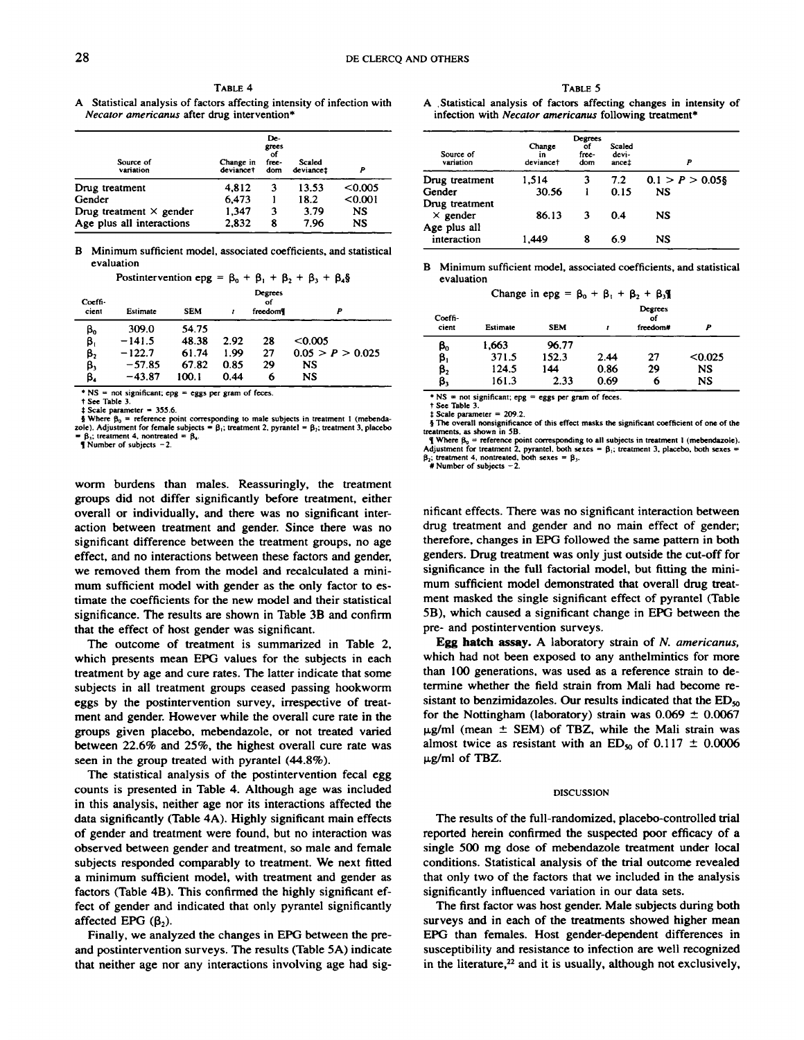**TABLE 4** *Necator americanus* after drug intervention\*

| Source of<br>variation         | Change in<br>deviance† | De-<br>grees<br>of<br>free-<br>dom | Scaled<br>deviancet | Р       |
|--------------------------------|------------------------|------------------------------------|---------------------|---------|
| Drug treatment                 | 4.812                  | 3                                  | 13.53               | < 0.005 |
| Gender                         | 6.473                  |                                    | 18.2                | < 0.001 |
| Drug treatment $\times$ gender | 1.347                  | 3                                  | 3.79                | NS      |
| Age plus all interactions      | 2.832                  | 8                                  | 7.96                | NS      |

B Minimum sufficient model, associated coefficients, and statistical evaluation

| Postintervention epg = $\beta_0 + \beta_1 + \beta_2 + \beta_3 + \beta_4$ § |
|----------------------------------------------------------------------------|
|----------------------------------------------------------------------------|

| Coeffi-<br>cient         | Estimate | <b>SEM</b> |      | Degrees<br>of<br>freedom |                  | Coeffi-                |
|--------------------------|----------|------------|------|--------------------------|------------------|------------------------|
| $\boldsymbol{\beta}_{0}$ | 309.0    | 54.75      |      |                          |                  | cient                  |
| $\beta_1$                | $-141.5$ | 48.38      | 2.92 | 28                       | < 0.005          | $\beta_{0}$            |
| $\beta_2$                | $-122.7$ | 61.74      | 1.99 | 27                       | 0.05 > P > 0.025 | $\boldsymbol{\beta}_1$ |
| β,                       | $-57.85$ | 67.82      | 0.85 | 29                       | <b>NS</b>        | $\beta_{2}$            |
| β.                       | $-43.87$ | 100.1      | 0.44 | 6                        | <b>NS</b>        | β,                     |

\*  $NS = not significant$ ; epg = eggs per gram of feces.

 $\uparrow$  See Table 3.<br> $\downarrow$  Scale parameter = 355.6.

\$ Scale parameter = 355.6.<br>\$<br>\$ Where B<sub>0</sub> = reference point corresponding to male subjects in treatment 1 (mebenda-<br>20le). Adjustment for female subjects = B<sub>1</sub>; treatment 2, pyrantel = B<sub>3</sub>; treatment 3, placebo  $\beta_1$ ; treatment 4, nontreated =  $\beta_4$ .<br>**T** Number of subjects - 2.

**worm burdens than males. Reassuringly, the treatment groups did not differ significantly before treatment, either overall or individually, and there was no significant inter** action between treatment and gender. Since there was no significant difference between the treatment groups, no age effect, and no interactions between these factors and gender, **we removed them from the model and recalculated a mini mum sufficient model with gender as the only factor to es** timate the coefficients for the new model and their statistical significance. The results are shown in Table 3B and confirm **that the effect of host gender was significant.**

**The outcome of treatment is summarized in Table 2,** which presents mean EPG values for the subjects in each treatment by age and cure rates. The latter indicate that some subjects in all treatment groups ceased passing hookworm eggs by the postintervention survey, irrespective of treat **ment and gender. However while the overall cure rate in the** groups given placebo, mebendazole, or not treated varied **between 22.6% and 25%, the highest overall cure rate was** seen in the group treated with pyrantel (44.8%).

**The statistical analysis of the postintervention fecal egg** counts is presented in Table 4. Although age was included in this analysis, neither age nor its interactions affected the data significantly (Table 4A). Highly significant main effects of gender and treatment were found, but no interaction was **observed between gender and treatment, so male and female** subjects responded comparably to treatment. We next fitted **a minimum sufficient model, with treatment and gender as factors (Table 4B). This confirmed the highly significant ef** fect of gender and indicated that only pyrantel significantly affected EPG  $(\beta_2)$ .

Finally, we analyzed the changes in EPG between the pre **and postintervention surveys. The results (Table 5A) indicate** that neither age nor any interactions involving age had sig

TABLE 5

A Statistical analysis of factors affecting intensity of infection with A Statistical analysis of factors affecting changes in intensity of infection with Necator americanus following treatment\*

| Source of<br>variation            | Change<br>in<br>deviance <sup>†</sup> | Degrees<br>٥f<br>free-<br>dom | Scaled<br>devi-<br>ancet | P                  |
|-----------------------------------|---------------------------------------|-------------------------------|--------------------------|--------------------|
| Drug treatment                    | 1.514                                 | 3                             | 7.2                      | $0.1 > P > 0.05$ § |
| Gender                            | 30.56                                 |                               | 0.15                     | <b>NS</b>          |
| Drug treatment<br>$\times$ gender | 86.13                                 | 3                             | 0.4                      | NS                 |
| Age plus all<br>interaction       | 1.449                                 | 8                             | 6.9                      | NS                 |

B Minimum sufficient model, associated coefficients, and statistical evaluation

Change in epg =  $\beta_0 + \beta_1 + \beta_2 + \beta_3$ 

| Coeffi-<br>cient | Estimate | <b>SEM</b> |      | Degrees<br>of<br>freedom# | Þ         |
|------------------|----------|------------|------|---------------------------|-----------|
| β,               | 1,663    | 96.77      |      |                           |           |
| β,               | 371.5    | 152.3      | 2.44 | 27                        | < 0.025   |
| β,               | 124.5    | 144        | 0.86 | 29                        | <b>NS</b> |
| β,               | 161.3    | 2.33       | 0.69 | 6                         | NS        |

**a NS = not significant; epg = eggs per gram of feces.**

 $t$  Scale parameter = 209.2.

 $\frac{1}{3}$  The overall nonsignificance of this effect masks the significant coefficient of one of the treatments, as shown in 5B.

 $= \beta_1$ ; internation and the server of subjects  $= \beta_1$ .<br>
The B<sub>0</sub> = reference point corresponding to all subjects in treatment 1 (mebendazole).<br>
The B<sub>0</sub> = reference point corresponding to all subjects in treatment 1 (m

 $#$  Number of subjects  $-2$ .

nificant effects. There was no significant interaction between drug treatment and gender and no main effect of gender; therefore, changes in EPG followed the same pattern in both genders. Drug treatment was only just outside the cut-off for significance in the full factorial model, but fitting the mini **mum sufficient model demonstrated that overall drug treat** ment masked the single significant effect of pyrantel (Table SB), which caused a significant change in EPG between the **pre- and postintervention surveys.**

Egg hatch assay. A laboratory strain of N. americanus, which had not been exposed to any anthelmintics for more than 100 generations, was used as a reference strain to de termine whether the field strain from Mali had become re sistant to benzimidazoles. Our results indicated that the  $ED_{\infty}$ for the Nottingham (laboratory) strain was  $0.069 \pm 0.0067$  $\mu$ g/ml (mean  $\pm$  SEM) of TBZ, while the Mali strain was almost twice as resistant with an  $ED_{50}$  of 0.117  $\pm$  0.0006  $\mu$ g/ml of TBZ.

### **DISCUSSION**

The results of the full-randomized, placebo-controlled trial **reported herein confirmed the suspected poor efficacy of a** single 500 mg dose of mebendazole treatment under local conditions. Statistical analysis of the trial outcome revealed that only two of the factors that we included in the analysis significantly influenced variation in our data sets.

**The first factor was host gender. Male subjects during both** surveys and in each of the treatments showed higher mean EPG than females. Host gender-dependent differences in susceptibility and resistance to infection are well recognized in the literature, $22$  and it is usually, although not exclusively,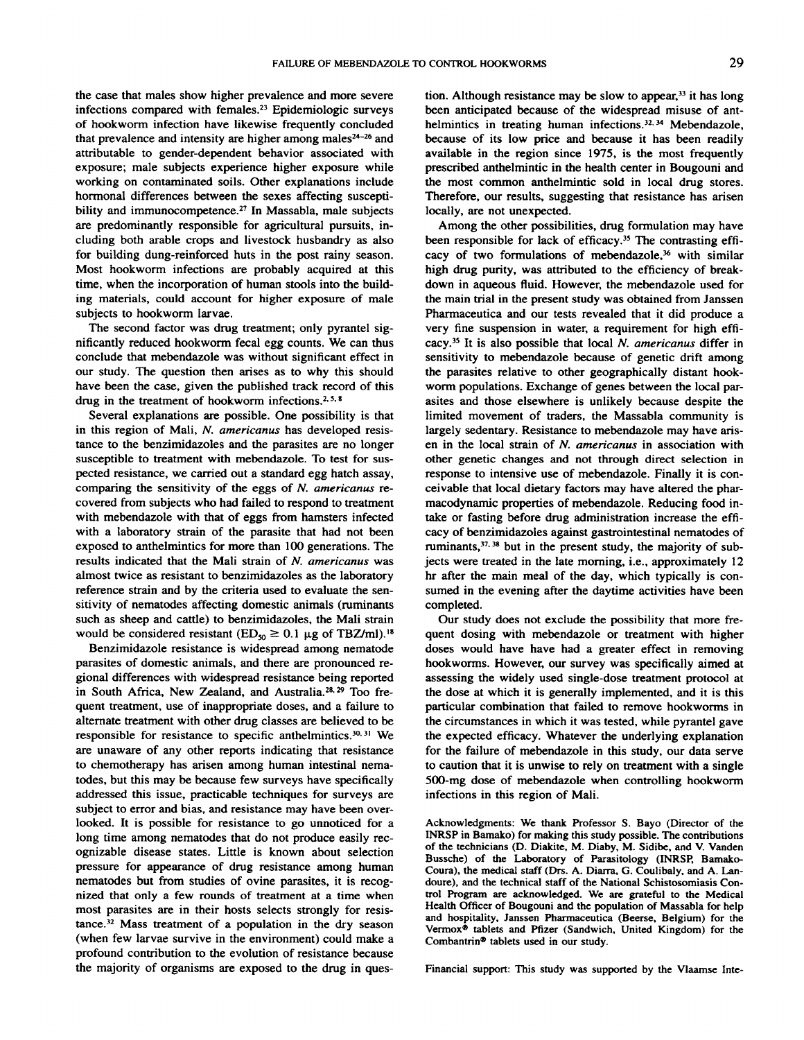the case that males show higher prevalence and more severe infections compared with females.23 Epidemiologic surveys of hookworm infection have likewise frequently concluded that prevalence and intensity are higher among males $24-26$  and attributable to gender-dependent behavior associated with exposure; male subjects experience higher exposure while working on contaminated soils. Other explanations include **hormonal differences between the sexes affecting suscepti** bility and immunocompetence.<sup>27</sup> In Massabla, male subjects are predominantly responsible for agricultural pursuits, in cluding both arable crops and livestock husbandry as also for building dung-reinforced huts in the post rainy season. Most hookworm infections are probably acquired at this time, when the incorporation of human stools into the build ing materials, could account for higher exposure of male subjects to hookworm larvae.

The second factor was drug treatment; only pyrantel sig nificantly reduced hookworm fecal egg counts. We can thus conclude that mebendazole was without significant effect in our study. The question then arises as to why this should have been the case, given the published track record of this drug in the treatment of hookworm infections.<sup>2, 5, 8</sup>

Several explanations are possible. One possibility is that in this region of Mali, N. americanus has developed resis tance to the benzimidazoles and the parasites are no longer susceptible to treatment with mebendazole. To test for sus pected resistance, we carried out a standard egg hatch assay, comparing the sensitivity of the eggs of N. americanus re covered from subjects who had failed to respond to treatment with mebendazole with that of eggs from hamsters infected with a laboratory strain of the parasite that had not been exposed to anthelmintics for more than 100 generations. The results indicated that the Mali strain of N. americanus was almost twice as resistant to benzimidazoles as the laboratory reference strain and by the criteria used to evaluate the sen sitivity of nematodes affecting domestic animals (ruminants such as sheep and cattle) to benzimidazoles, the Mali strain would be considered resistant  $(ED_{50} \ge 0.1 \mu g)$  of TBZ/ml).<sup>18</sup>

Benzimidazole resistance is widespread among nematode parasites of domestic animals, and there are pronounced re gional differences with widespread resistance being reported in South Africa, New Zealand, and Australia.<sup>28, 29</sup> Too frequent treatment, use of inappropriate doses, and a failure to alternate treatment with other drug classes are believed to be responsible for resistance to specific anthelmintics.<sup>30, 31</sup> We are unaware of any other reports indicating that resistance to chemotherapy has arisen among human intestinal nematodes, but this may be because few surveys have specifically addressed this issue, practicable techniques for surveys are subject to error and bias, and resistance may have been over looked. It is possible for resistance to go unnoticed for a long time among nematodes that do not produce easily rec ognizable disease states. Little is known about selection pressure for appearance of drug resistance among human nematodes but from studies of ovine parasites, it is recog **nized that only a few rounds of treatment at a time when** most parasites are in their hosts selects strongly for resis tance.32 Mass treatment of a population in the dry season (when few larvae survive in the environment) could make a profound contribution to the evolution of resistance because the majority of organisms are exposed to the drug in ques

tion. Although resistance may be slow to appear,  $33$  it has long been anticipated because of the widespread misuse of ant helmintics in treating human infections.<sup>32, 34</sup> Mebendazole, because of its low price and because it has been readily available in the region since 1975, is the most frequently prescribed anthelmintic in the health center in Bougouni and the most common anthelmintic sold in local drug stores. Therefore, our results, suggesting that resistance has arisen locally, are not unexpected.

Among the other possibilities, drug formulation may have been responsible for lack of efficacy.<sup>35</sup> The contrasting efficacy of two formulations of mebendazole, $36$  with similar high drug purity, was attributed to the efficiency of break **down in aqueous fluid. However, the mebendazole used for the main trial in the present study was obtained from Janssen** Pharmaceutica and our tests revealed that it did produce a very fine suspension in water, a requirement for high effi cacy.35 It is also possible that local N. americanus differ in sensitivity to mebendazole because of genetic drift among **the parasites relative to other geographically distant hook worm populations. Exchange of genes between the local par** asites and those elsewhere is unlikely because despite the limited movement of traders, the Massabla community is largely sedentary. Resistance to mebendazole may have arisen in the local strain of N. americanus in association with **other genetic changes and not through direct selection in** response to intensive use of mebendazole. Finally it is con ceivable that local dietary factors may have altered the phar macodynamic properties of mebendazole. Reducing food in take or fasting before drug administration increase the effi cacy of benzimidazoles against gastrointestinal nematodes of ruminants,  $37,38$  but in the present study, the majority of subjects were treated in the late morning, i.e., approximately 12 hr after the main meal of the day, which typically is con sumed in the evening after the daytime activities have been completed.

**Our study does not exclude the possibility that more fre** quent dosing with mebendazole or treatment with higher doses would have have had a greater effect in removing hookworms. However, our survey was specifically aimed at assessing the widely used single-dose treatment protocol at the dose at which it is generally implemented, and it is this particular combination that failed to remove hookworms in the circumstances in which it was tested, while pyrantel gave the expected efficacy. Whatever the underlying explanation **for the failure of mebendazole in this study, our data serve** to caution that it is unwise to rely on treatment with a single 500-mg dose of mebendazole when controlling hookworm infections in this region of Mali.

Acknowledgments: We thank Professor S. Bayo (Director of the INRSP in Bamako) for making this study possible. The contributions of the technicians (D. Diakite, M. Diaby, M. Sidibe, and V. Vanden Bussche) of the Laboratory of Parasitology (INRSP, Bamako **Coura), the medical staff (Drs. A. Diarra, G. Coulibaly, and A. Lan** doure), and the technical staff of the National Schistosomiasis Con trol Program are acknowledged. We are grateful to the Medical Health Officer of Bougouni and the population of Massabla for help and hospitality, Janssen Pharmaceutica (Beerse, Belgium) for the Vermox®tablets and Pfizer (Sandwich, United Kingdom) for the Combantrin®tablets used in our study.

Financial support: This study was supported by the Vlaamse Inte